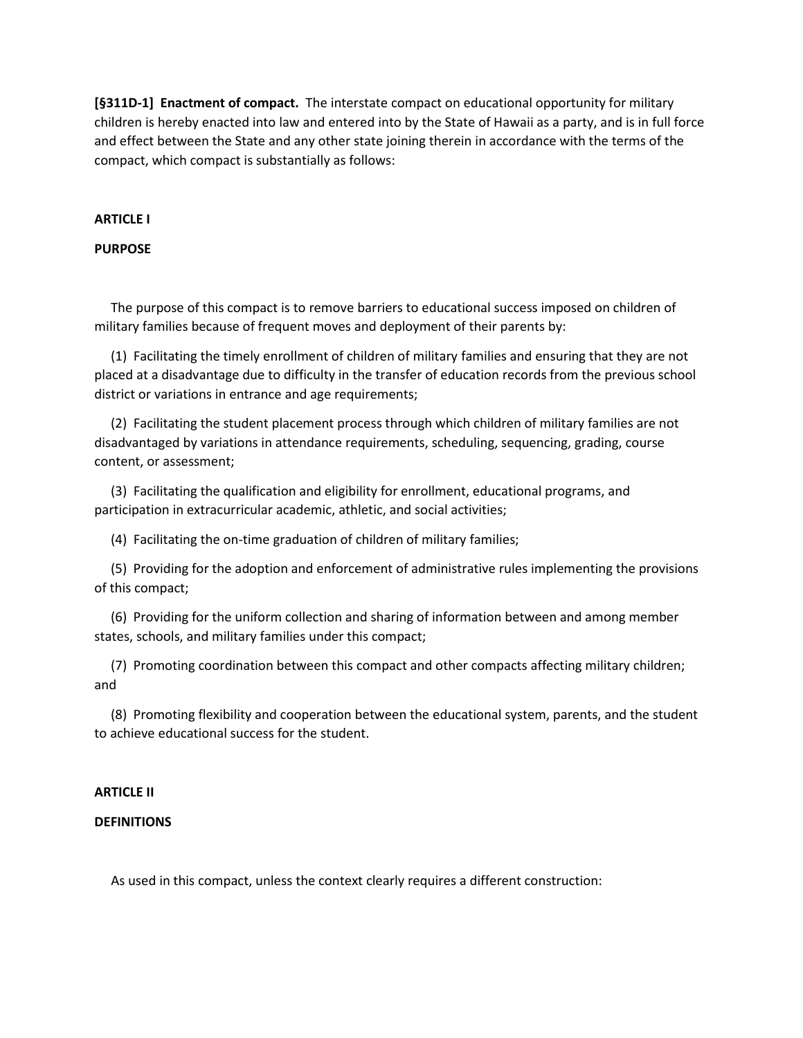**[§311D-1] Enactment of compact.** The interstate compact on educational opportunity for military children is hereby enacted into law and entered into by the State of Hawaii as a party, and is in full force and effect between the State and any other state joining therein in accordance with the terms of the compact, which compact is substantially as follows:

# **ARTICLE I**

# **PURPOSE**

 The purpose of this compact is to remove barriers to educational success imposed on children of military families because of frequent moves and deployment of their parents by:

 (1) Facilitating the timely enrollment of children of military families and ensuring that they are not placed at a disadvantage due to difficulty in the transfer of education records from the previous school district or variations in entrance and age requirements;

 (2) Facilitating the student placement process through which children of military families are not disadvantaged by variations in attendance requirements, scheduling, sequencing, grading, course content, or assessment;

 (3) Facilitating the qualification and eligibility for enrollment, educational programs, and participation in extracurricular academic, athletic, and social activities;

(4) Facilitating the on-time graduation of children of military families;

 (5) Providing for the adoption and enforcement of administrative rules implementing the provisions of this compact;

 (6) Providing for the uniform collection and sharing of information between and among member states, schools, and military families under this compact;

 (7) Promoting coordination between this compact and other compacts affecting military children; and

 (8) Promoting flexibility and cooperation between the educational system, parents, and the student to achieve educational success for the student.

# **ARTICLE II**

# **DEFINITIONS**

As used in this compact, unless the context clearly requires a different construction: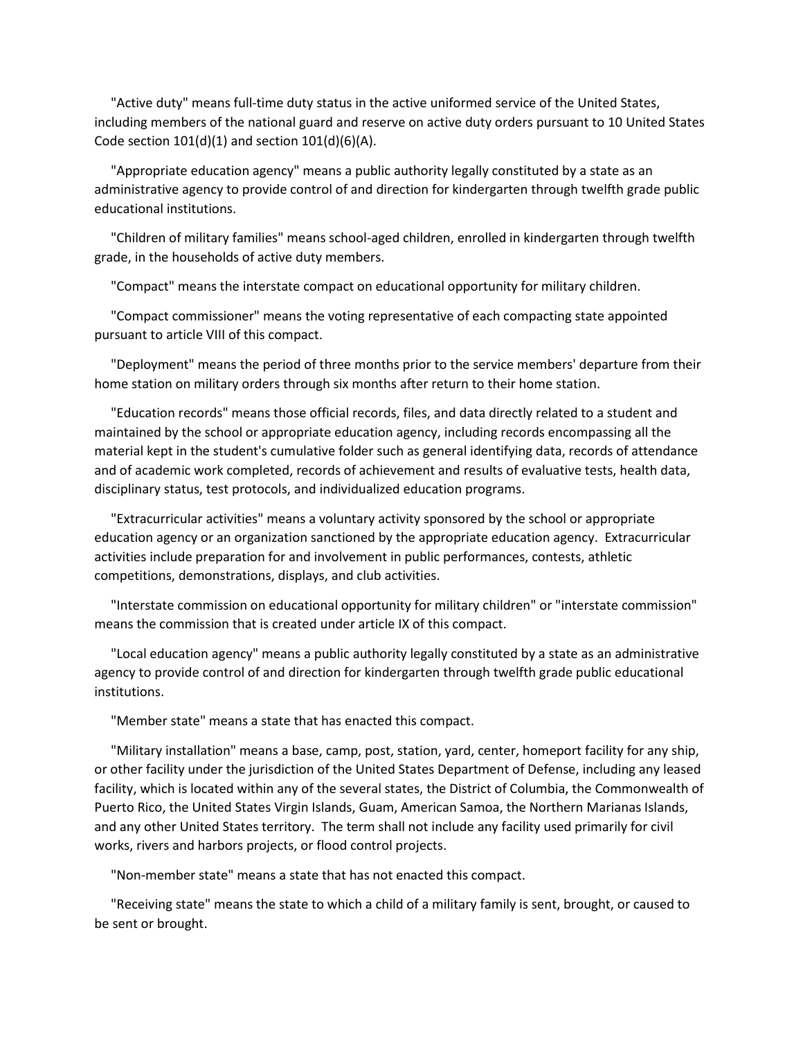"Active duty" means full-time duty status in the active uniformed service of the United States, including members of the national guard and reserve on active duty orders pursuant to 10 United States Code section  $101(d)(1)$  and section  $101(d)(6)(A)$ .

 "Appropriate education agency" means a public authority legally constituted by a state as an administrative agency to provide control of and direction for kindergarten through twelfth grade public educational institutions.

 "Children of military families" means school-aged children, enrolled in kindergarten through twelfth grade, in the households of active duty members.

"Compact" means the interstate compact on educational opportunity for military children.

 "Compact commissioner" means the voting representative of each compacting state appointed pursuant to article VIII of this compact.

 "Deployment" means the period of three months prior to the service members' departure from their home station on military orders through six months after return to their home station.

 "Education records" means those official records, files, and data directly related to a student and maintained by the school or appropriate education agency, including records encompassing all the material kept in the student's cumulative folder such as general identifying data, records of attendance and of academic work completed, records of achievement and results of evaluative tests, health data, disciplinary status, test protocols, and individualized education programs.

 "Extracurricular activities" means a voluntary activity sponsored by the school or appropriate education agency or an organization sanctioned by the appropriate education agency. Extracurricular activities include preparation for and involvement in public performances, contests, athletic competitions, demonstrations, displays, and club activities.

 "Interstate commission on educational opportunity for military children" or "interstate commission" means the commission that is created under article IX of this compact.

 "Local education agency" means a public authority legally constituted by a state as an administrative agency to provide control of and direction for kindergarten through twelfth grade public educational institutions.

"Member state" means a state that has enacted this compact.

 "Military installation" means a base, camp, post, station, yard, center, homeport facility for any ship, or other facility under the jurisdiction of the United States Department of Defense, including any leased facility, which is located within any of the several states, the District of Columbia, the Commonwealth of Puerto Rico, the United States Virgin Islands, Guam, American Samoa, the Northern Marianas Islands, and any other United States territory. The term shall not include any facility used primarily for civil works, rivers and harbors projects, or flood control projects.

"Non-member state" means a state that has not enacted this compact.

 "Receiving state" means the state to which a child of a military family is sent, brought, or caused to be sent or brought.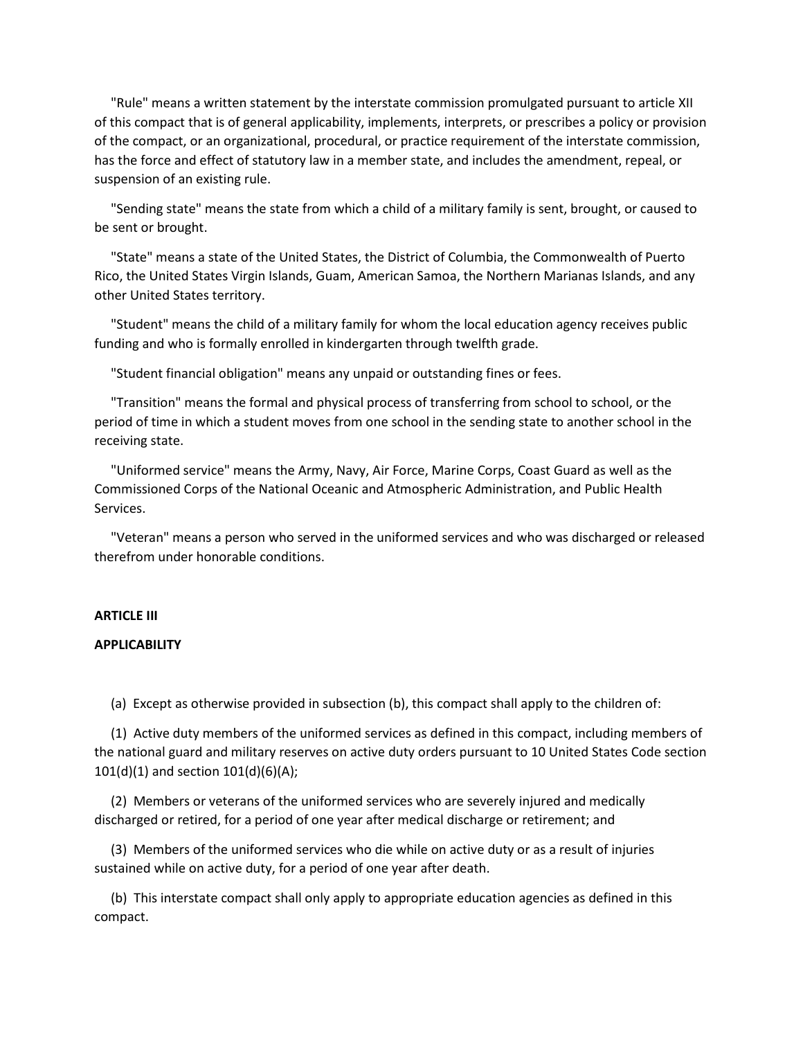"Rule" means a written statement by the interstate commission promulgated pursuant to article XII of this compact that is of general applicability, implements, interprets, or prescribes a policy or provision of the compact, or an organizational, procedural, or practice requirement of the interstate commission, has the force and effect of statutory law in a member state, and includes the amendment, repeal, or suspension of an existing rule.

 "Sending state" means the state from which a child of a military family is sent, brought, or caused to be sent or brought.

 "State" means a state of the United States, the District of Columbia, the Commonwealth of Puerto Rico, the United States Virgin Islands, Guam, American Samoa, the Northern Marianas Islands, and any other United States territory.

 "Student" means the child of a military family for whom the local education agency receives public funding and who is formally enrolled in kindergarten through twelfth grade.

"Student financial obligation" means any unpaid or outstanding fines or fees.

 "Transition" means the formal and physical process of transferring from school to school, or the period of time in which a student moves from one school in the sending state to another school in the receiving state.

 "Uniformed service" means the Army, Navy, Air Force, Marine Corps, Coast Guard as well as the Commissioned Corps of the National Oceanic and Atmospheric Administration, and Public Health Services.

 "Veteran" means a person who served in the uniformed services and who was discharged or released therefrom under honorable conditions.

#### **ARTICLE III**

## **APPLICABILITY**

(a) Except as otherwise provided in subsection (b), this compact shall apply to the children of:

 (1) Active duty members of the uniformed services as defined in this compact, including members of the national guard and military reserves on active duty orders pursuant to 10 United States Code section 101(d)(1) and section 101(d)(6)(A);

 (2) Members or veterans of the uniformed services who are severely injured and medically discharged or retired, for a period of one year after medical discharge or retirement; and

 (3) Members of the uniformed services who die while on active duty or as a result of injuries sustained while on active duty, for a period of one year after death.

 (b) This interstate compact shall only apply to appropriate education agencies as defined in this compact.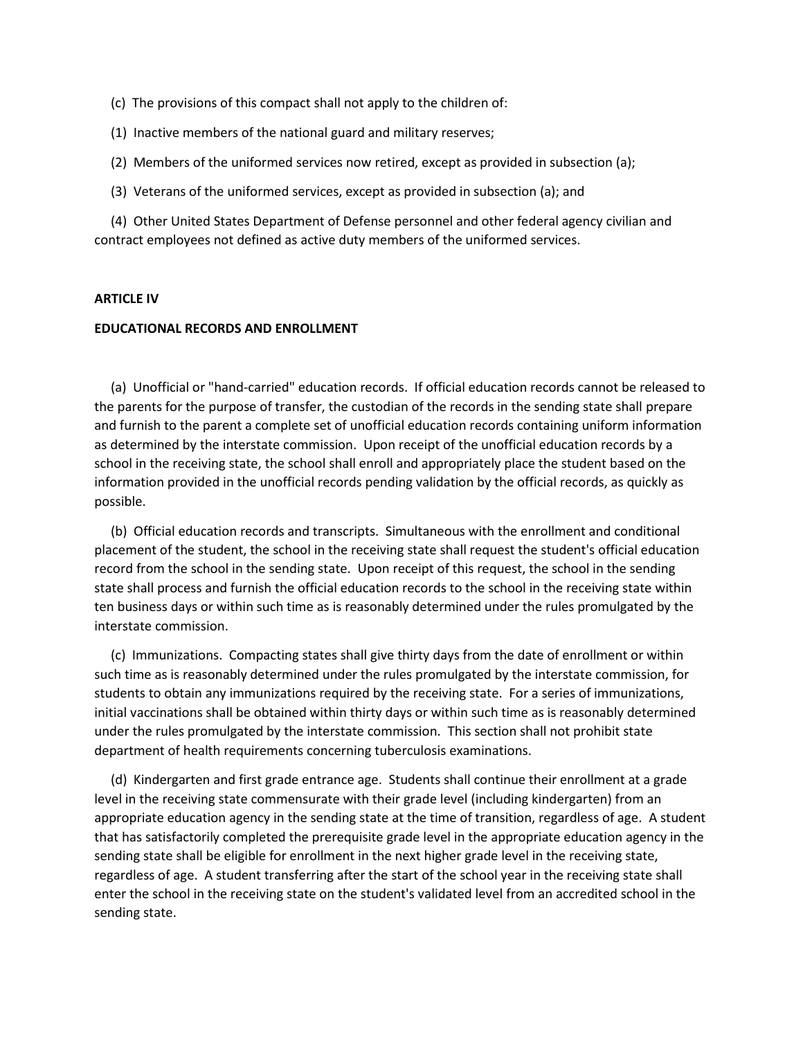- (c) The provisions of this compact shall not apply to the children of:
- (1) Inactive members of the national guard and military reserves;
- (2) Members of the uniformed services now retired, except as provided in subsection (a);
- (3) Veterans of the uniformed services, except as provided in subsection (a); and

 (4) Other United States Department of Defense personnel and other federal agency civilian and contract employees not defined as active duty members of the uniformed services.

## **ARTICLE IV**

#### **EDUCATIONAL RECORDS AND ENROLLMENT**

 (a) Unofficial or "hand-carried" education records. If official education records cannot be released to the parents for the purpose of transfer, the custodian of the records in the sending state shall prepare and furnish to the parent a complete set of unofficial education records containing uniform information as determined by the interstate commission. Upon receipt of the unofficial education records by a school in the receiving state, the school shall enroll and appropriately place the student based on the information provided in the unofficial records pending validation by the official records, as quickly as possible.

 (b) Official education records and transcripts. Simultaneous with the enrollment and conditional placement of the student, the school in the receiving state shall request the student's official education record from the school in the sending state. Upon receipt of this request, the school in the sending state shall process and furnish the official education records to the school in the receiving state within ten business days or within such time as is reasonably determined under the rules promulgated by the interstate commission.

 (c) Immunizations. Compacting states shall give thirty days from the date of enrollment or within such time as is reasonably determined under the rules promulgated by the interstate commission, for students to obtain any immunizations required by the receiving state. For a series of immunizations, initial vaccinations shall be obtained within thirty days or within such time as is reasonably determined under the rules promulgated by the interstate commission. This section shall not prohibit state department of health requirements concerning tuberculosis examinations.

 (d) Kindergarten and first grade entrance age. Students shall continue their enrollment at a grade level in the receiving state commensurate with their grade level (including kindergarten) from an appropriate education agency in the sending state at the time of transition, regardless of age. A student that has satisfactorily completed the prerequisite grade level in the appropriate education agency in the sending state shall be eligible for enrollment in the next higher grade level in the receiving state, regardless of age. A student transferring after the start of the school year in the receiving state shall enter the school in the receiving state on the student's validated level from an accredited school in the sending state.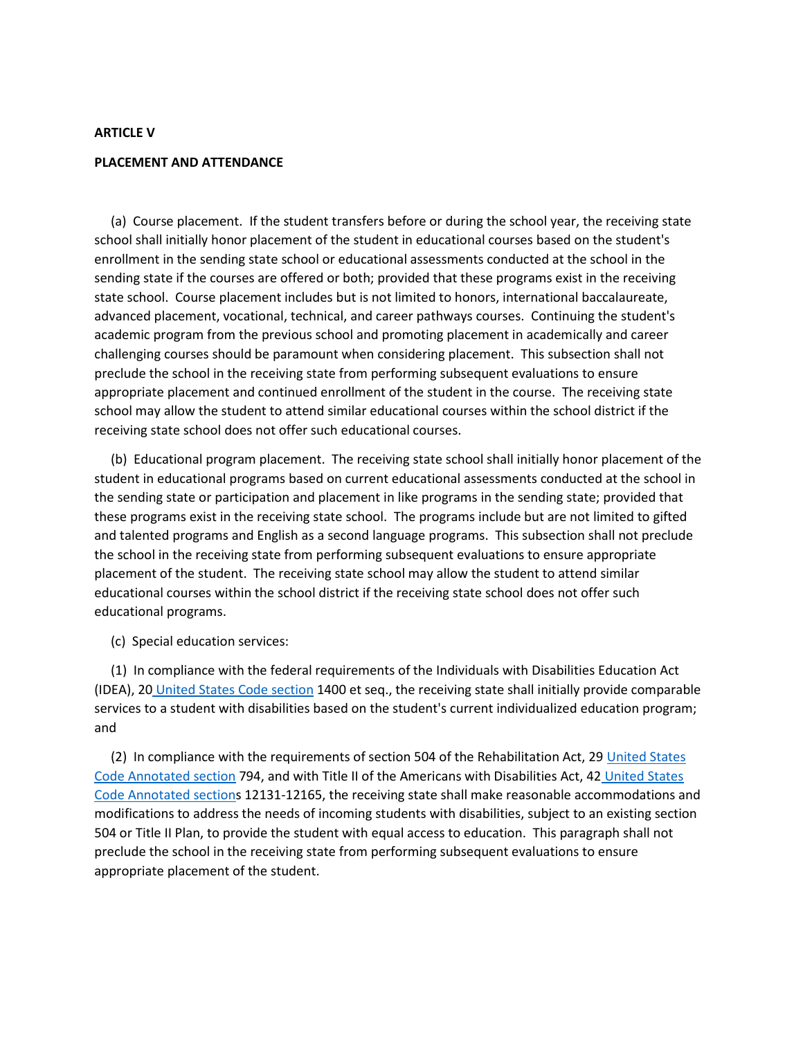## **ARTICLE V**

#### **PLACEMENT AND ATTENDANCE**

 (a) Course placement. If the student transfers before or during the school year, the receiving state school shall initially honor placement of the student in educational courses based on the student's enrollment in the sending state school or educational assessments conducted at the school in the sending state if the courses are offered or both; provided that these programs exist in the receiving state school. Course placement includes but is not limited to honors, international baccalaureate, advanced placement, vocational, technical, and career pathways courses. Continuing the student's academic program from the previous school and promoting placement in academically and career challenging courses should be paramount when considering placement. This subsection shall not preclude the school in the receiving state from performing subsequent evaluations to ensure appropriate placement and continued enrollment of the student in the course. The receiving state school may allow the student to attend similar educational courses within the school district if the receiving state school does not offer such educational courses.

 (b) Educational program placement. The receiving state school shall initially honor placement of the student in educational programs based on current educational assessments conducted at the school in the sending state or participation and placement in like programs in the sending state; provided that these programs exist in the receiving state school. The programs include but are not limited to gifted and talented programs and English as a second language programs. This subsection shall not preclude the school in the receiving state from performing subsequent evaluations to ensure appropriate placement of the student. The receiving state school may allow the student to attend similar educational courses within the school district if the receiving state school does not offer such educational programs.

(c) Special education services:

 (1) In compliance with the federal requirements of the Individuals with Disabilities Education Act (IDEA), 20 [United States Code section](http://u.s.c.a.section/) 1400 et seq., the receiving state shall initially provide comparable services to a student with disabilities based on the student's current individualized education program; and

 (2) In compliance with the requirements of section 504 of the Rehabilitation Act, 29 [United States](http://u.s.c.a.section/)  [Code Annotated section](http://u.s.c.a.section/) 794, and with Title II of the Americans with Disabilities Act, 42 [United States](http://u.s.c.a.section/)  [Code Annotated sections](http://u.s.c.a.section/) 12131-12165, the receiving state shall make reasonable accommodations and modifications to address the needs of incoming students with disabilities, subject to an existing section 504 or Title II Plan, to provide the student with equal access to education. This paragraph shall not preclude the school in the receiving state from performing subsequent evaluations to ensure appropriate placement of the student.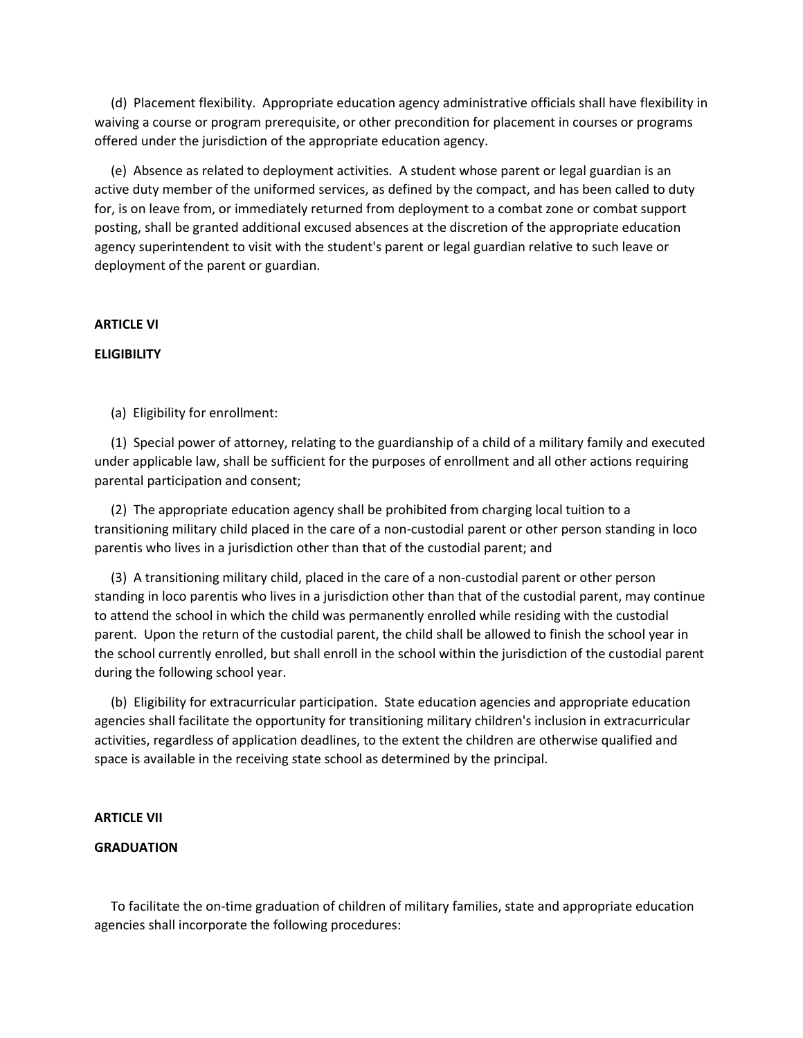(d) Placement flexibility. Appropriate education agency administrative officials shall have flexibility in waiving a course or program prerequisite, or other precondition for placement in courses or programs offered under the jurisdiction of the appropriate education agency.

 (e) Absence as related to deployment activities. A student whose parent or legal guardian is an active duty member of the uniformed services, as defined by the compact, and has been called to duty for, is on leave from, or immediately returned from deployment to a combat zone or combat support posting, shall be granted additional excused absences at the discretion of the appropriate education agency superintendent to visit with the student's parent or legal guardian relative to such leave or deployment of the parent or guardian.

#### **ARTICLE VI**

## **ELIGIBILITY**

(a) Eligibility for enrollment:

 (1) Special power of attorney, relating to the guardianship of a child of a military family and executed under applicable law, shall be sufficient for the purposes of enrollment and all other actions requiring parental participation and consent;

 (2) The appropriate education agency shall be prohibited from charging local tuition to a transitioning military child placed in the care of a non-custodial parent or other person standing in loco parentis who lives in a jurisdiction other than that of the custodial parent; and

 (3) A transitioning military child, placed in the care of a non-custodial parent or other person standing in loco parentis who lives in a jurisdiction other than that of the custodial parent, may continue to attend the school in which the child was permanently enrolled while residing with the custodial parent. Upon the return of the custodial parent, the child shall be allowed to finish the school year in the school currently enrolled, but shall enroll in the school within the jurisdiction of the custodial parent during the following school year.

 (b) Eligibility for extracurricular participation. State education agencies and appropriate education agencies shall facilitate the opportunity for transitioning military children's inclusion in extracurricular activities, regardless of application deadlines, to the extent the children are otherwise qualified and space is available in the receiving state school as determined by the principal.

#### **ARTICLE VII**

## **GRADUATION**

 To facilitate the on-time graduation of children of military families, state and appropriate education agencies shall incorporate the following procedures: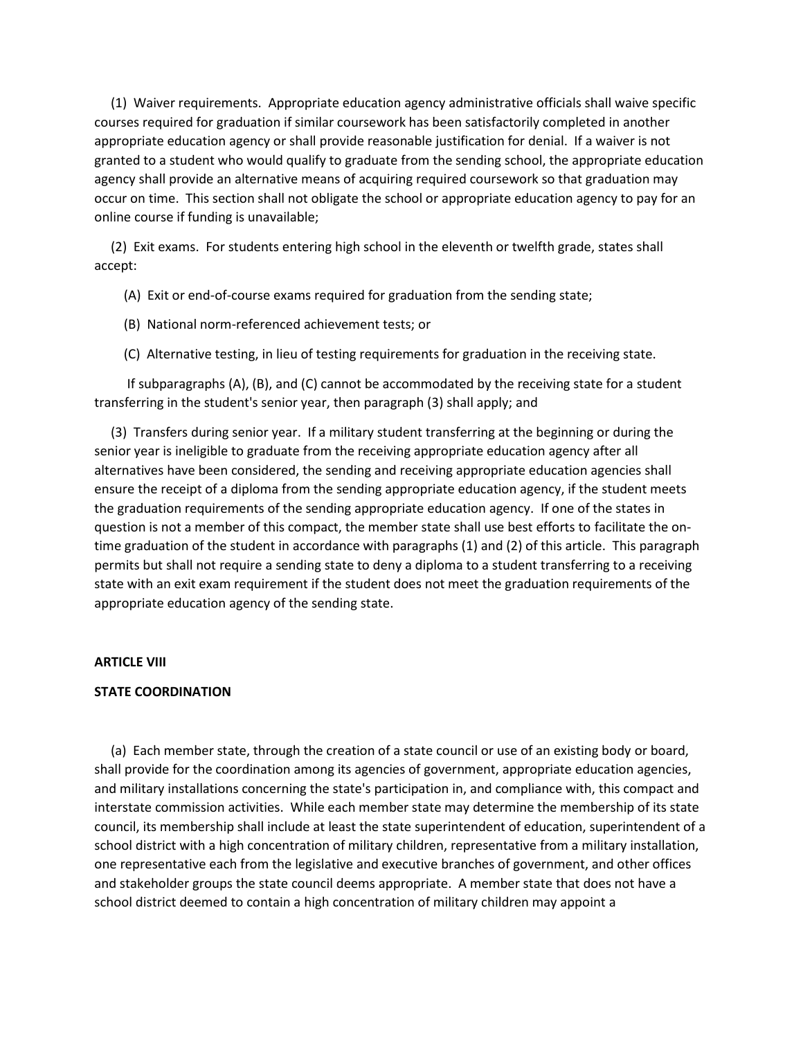(1) Waiver requirements. Appropriate education agency administrative officials shall waive specific courses required for graduation if similar coursework has been satisfactorily completed in another appropriate education agency or shall provide reasonable justification for denial. If a waiver is not granted to a student who would qualify to graduate from the sending school, the appropriate education agency shall provide an alternative means of acquiring required coursework so that graduation may occur on time. This section shall not obligate the school or appropriate education agency to pay for an online course if funding is unavailable;

 (2) Exit exams. For students entering high school in the eleventh or twelfth grade, states shall accept:

- (A) Exit or end-of-course exams required for graduation from the sending state;
- (B) National norm-referenced achievement tests; or
- (C) Alternative testing, in lieu of testing requirements for graduation in the receiving state.

 If subparagraphs (A), (B), and (C) cannot be accommodated by the receiving state for a student transferring in the student's senior year, then paragraph (3) shall apply; and

 (3) Transfers during senior year. If a military student transferring at the beginning or during the senior year is ineligible to graduate from the receiving appropriate education agency after all alternatives have been considered, the sending and receiving appropriate education agencies shall ensure the receipt of a diploma from the sending appropriate education agency, if the student meets the graduation requirements of the sending appropriate education agency. If one of the states in question is not a member of this compact, the member state shall use best efforts to facilitate the ontime graduation of the student in accordance with paragraphs (1) and (2) of this article. This paragraph permits but shall not require a sending state to deny a diploma to a student transferring to a receiving state with an exit exam requirement if the student does not meet the graduation requirements of the appropriate education agency of the sending state.

## **ARTICLE VIII**

# **STATE COORDINATION**

 (a) Each member state, through the creation of a state council or use of an existing body or board, shall provide for the coordination among its agencies of government, appropriate education agencies, and military installations concerning the state's participation in, and compliance with, this compact and interstate commission activities. While each member state may determine the membership of its state council, its membership shall include at least the state superintendent of education, superintendent of a school district with a high concentration of military children, representative from a military installation, one representative each from the legislative and executive branches of government, and other offices and stakeholder groups the state council deems appropriate. A member state that does not have a school district deemed to contain a high concentration of military children may appoint a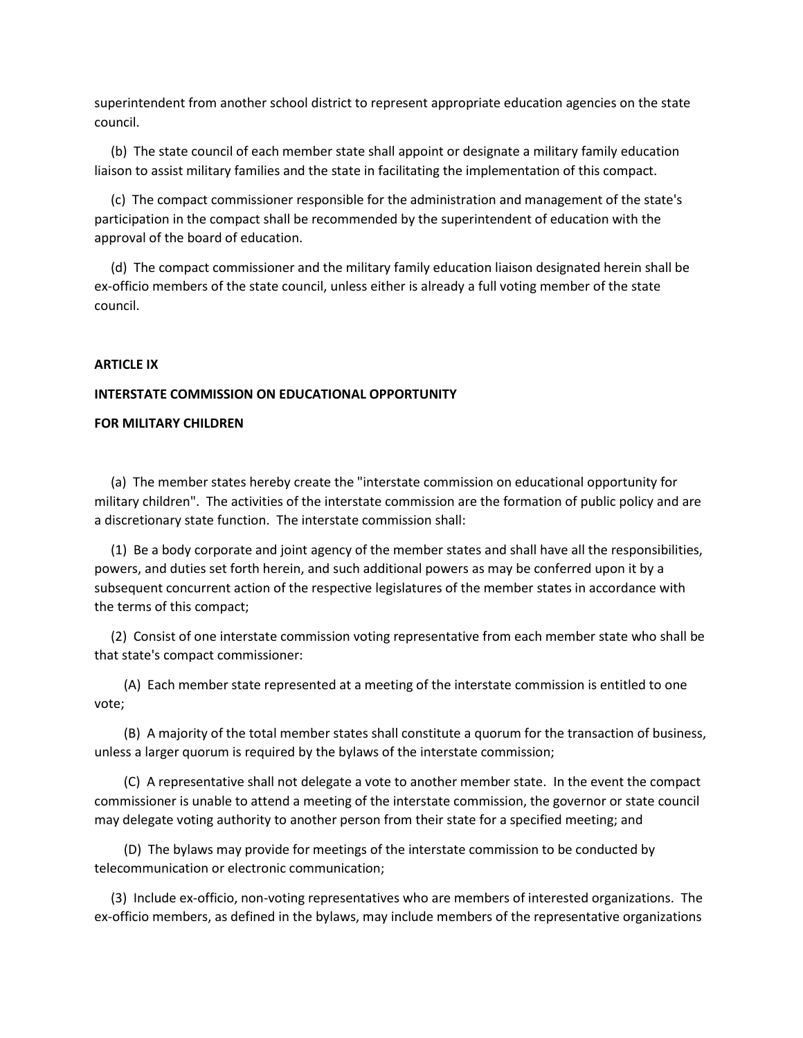superintendent from another school district to represent appropriate education agencies on the state council.

 (b) The state council of each member state shall appoint or designate a military family education liaison to assist military families and the state in facilitating the implementation of this compact.

 (c) The compact commissioner responsible for the administration and management of the state's participation in the compact shall be recommended by the superintendent of education with the approval of the board of education.

 (d) The compact commissioner and the military family education liaison designated herein shall be ex-officio members of the state council, unless either is already a full voting member of the state council.

## **ARTICLE IX**

#### **INTERSTATE COMMISSION ON EDUCATIONAL OPPORTUNITY**

#### **FOR MILITARY CHILDREN**

 (a) The member states hereby create the "interstate commission on educational opportunity for military children". The activities of the interstate commission are the formation of public policy and are a discretionary state function. The interstate commission shall:

 (1) Be a body corporate and joint agency of the member states and shall have all the responsibilities, powers, and duties set forth herein, and such additional powers as may be conferred upon it by a subsequent concurrent action of the respective legislatures of the member states in accordance with the terms of this compact;

 (2) Consist of one interstate commission voting representative from each member state who shall be that state's compact commissioner:

 (A) Each member state represented at a meeting of the interstate commission is entitled to one vote;

 (B) A majority of the total member states shall constitute a quorum for the transaction of business, unless a larger quorum is required by the bylaws of the interstate commission;

 (C) A representative shall not delegate a vote to another member state. In the event the compact commissioner is unable to attend a meeting of the interstate commission, the governor or state council may delegate voting authority to another person from their state for a specified meeting; and

 (D) The bylaws may provide for meetings of the interstate commission to be conducted by telecommunication or electronic communication;

 (3) Include ex-officio, non-voting representatives who are members of interested organizations. The ex-officio members, as defined in the bylaws, may include members of the representative organizations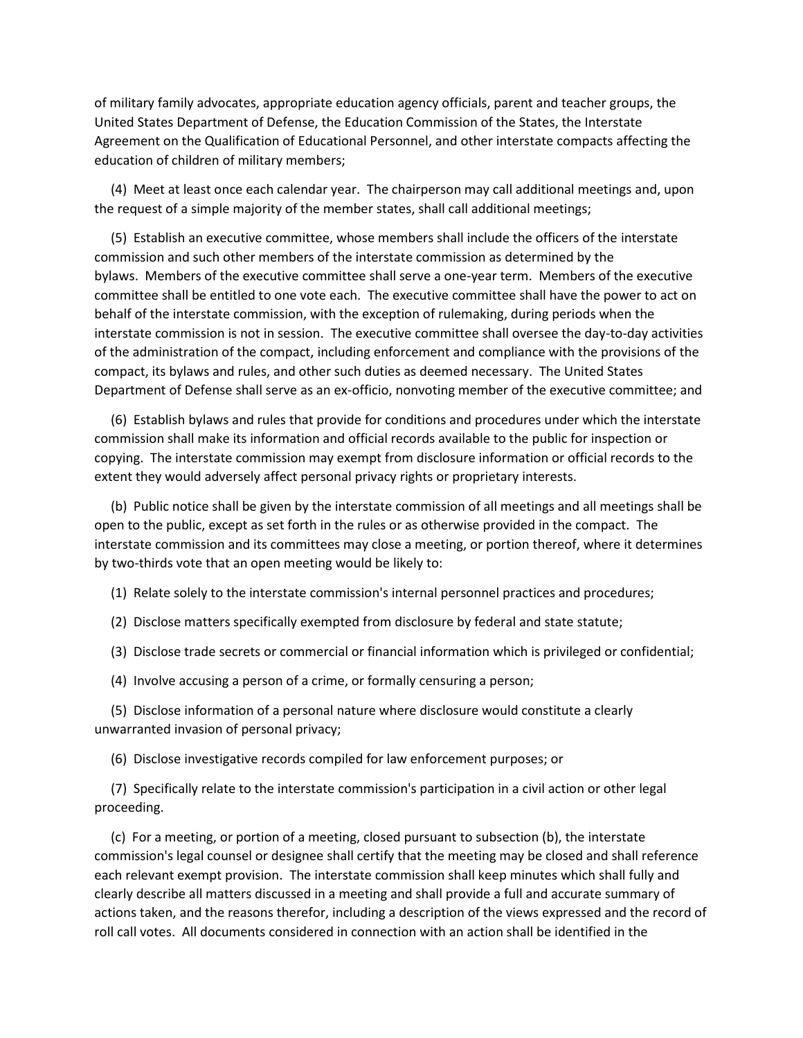of military family advocates, appropriate education agency officials, parent and teacher groups, the United States Department of Defense, the Education Commission of the States, the Interstate Agreement on the Qualification of Educational Personnel, and other interstate compacts affecting the education of children of military members;

 (4) Meet at least once each calendar year. The chairperson may call additional meetings and, upon the request of a simple majority of the member states, shall call additional meetings;

 (5) Establish an executive committee, whose members shall include the officers of the interstate commission and such other members of the interstate commission as determined by the bylaws. Members of the executive committee shall serve a one-year term. Members of the executive committee shall be entitled to one vote each. The executive committee shall have the power to act on behalf of the interstate commission, with the exception of rulemaking, during periods when the interstate commission is not in session. The executive committee shall oversee the day-to-day activities of the administration of the compact, including enforcement and compliance with the provisions of the compact, its bylaws and rules, and other such duties as deemed necessary. The United States Department of Defense shall serve as an ex-officio, nonvoting member of the executive committee; and

 (6) Establish bylaws and rules that provide for conditions and procedures under which the interstate commission shall make its information and official records available to the public for inspection or copying. The interstate commission may exempt from disclosure information or official records to the extent they would adversely affect personal privacy rights or proprietary interests.

 (b) Public notice shall be given by the interstate commission of all meetings and all meetings shall be open to the public, except as set forth in the rules or as otherwise provided in the compact. The interstate commission and its committees may close a meeting, or portion thereof, where it determines by two-thirds vote that an open meeting would be likely to:

(1) Relate solely to the interstate commission's internal personnel practices and procedures;

(2) Disclose matters specifically exempted from disclosure by federal and state statute;

(3) Disclose trade secrets or commercial or financial information which is privileged or confidential;

(4) Involve accusing a person of a crime, or formally censuring a person;

 (5) Disclose information of a personal nature where disclosure would constitute a clearly unwarranted invasion of personal privacy;

(6) Disclose investigative records compiled for law enforcement purposes; or

 (7) Specifically relate to the interstate commission's participation in a civil action or other legal proceeding.

 (c) For a meeting, or portion of a meeting, closed pursuant to subsection (b), the interstate commission's legal counsel or designee shall certify that the meeting may be closed and shall reference each relevant exempt provision. The interstate commission shall keep minutes which shall fully and clearly describe all matters discussed in a meeting and shall provide a full and accurate summary of actions taken, and the reasons therefor, including a description of the views expressed and the record of roll call votes. All documents considered in connection with an action shall be identified in the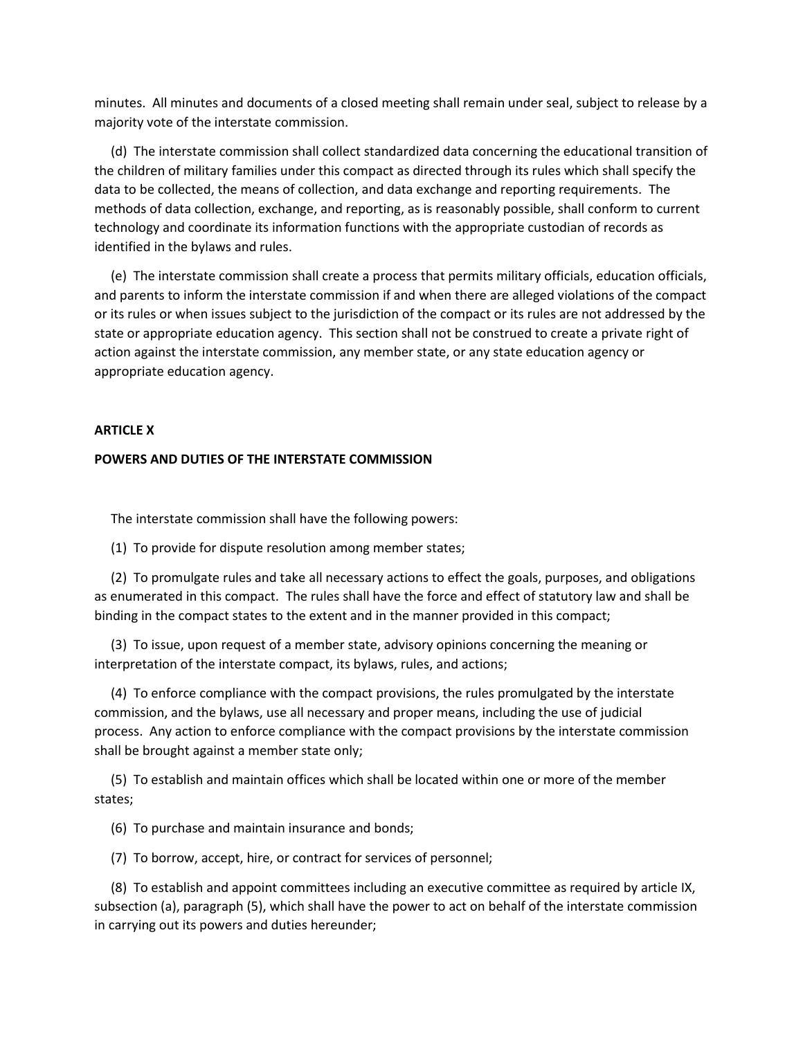minutes. All minutes and documents of a closed meeting shall remain under seal, subject to release by a majority vote of the interstate commission.

 (d) The interstate commission shall collect standardized data concerning the educational transition of the children of military families under this compact as directed through its rules which shall specify the data to be collected, the means of collection, and data exchange and reporting requirements. The methods of data collection, exchange, and reporting, as is reasonably possible, shall conform to current technology and coordinate its information functions with the appropriate custodian of records as identified in the bylaws and rules.

 (e) The interstate commission shall create a process that permits military officials, education officials, and parents to inform the interstate commission if and when there are alleged violations of the compact or its rules or when issues subject to the jurisdiction of the compact or its rules are not addressed by the state or appropriate education agency. This section shall not be construed to create a private right of action against the interstate commission, any member state, or any state education agency or appropriate education agency.

## **ARTICLE X**

#### **POWERS AND DUTIES OF THE INTERSTATE COMMISSION**

The interstate commission shall have the following powers:

(1) To provide for dispute resolution among member states;

 (2) To promulgate rules and take all necessary actions to effect the goals, purposes, and obligations as enumerated in this compact. The rules shall have the force and effect of statutory law and shall be binding in the compact states to the extent and in the manner provided in this compact;

 (3) To issue, upon request of a member state, advisory opinions concerning the meaning or interpretation of the interstate compact, its bylaws, rules, and actions;

 (4) To enforce compliance with the compact provisions, the rules promulgated by the interstate commission, and the bylaws, use all necessary and proper means, including the use of judicial process. Any action to enforce compliance with the compact provisions by the interstate commission shall be brought against a member state only;

 (5) To establish and maintain offices which shall be located within one or more of the member states;

(6) To purchase and maintain insurance and bonds;

(7) To borrow, accept, hire, or contract for services of personnel;

 (8) To establish and appoint committees including an executive committee as required by article IX, subsection (a), paragraph (5), which shall have the power to act on behalf of the interstate commission in carrying out its powers and duties hereunder;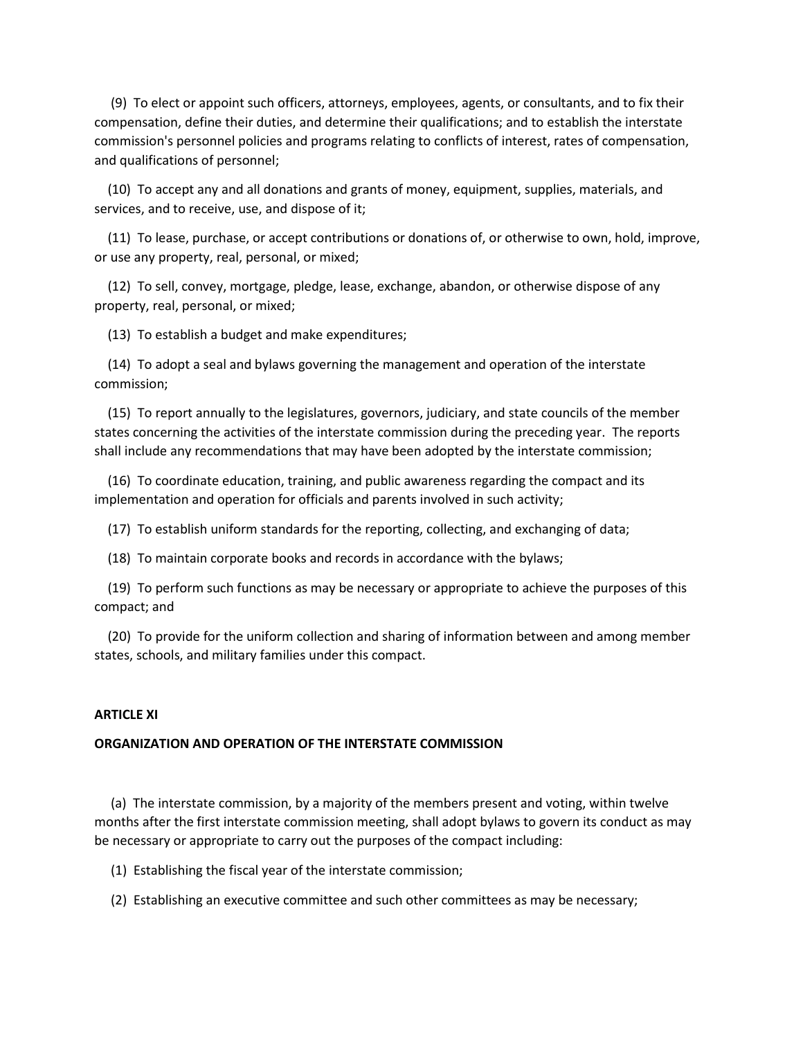(9) To elect or appoint such officers, attorneys, employees, agents, or consultants, and to fix their compensation, define their duties, and determine their qualifications; and to establish the interstate commission's personnel policies and programs relating to conflicts of interest, rates of compensation, and qualifications of personnel;

 (10) To accept any and all donations and grants of money, equipment, supplies, materials, and services, and to receive, use, and dispose of it;

 (11) To lease, purchase, or accept contributions or donations of, or otherwise to own, hold, improve, or use any property, real, personal, or mixed;

 (12) To sell, convey, mortgage, pledge, lease, exchange, abandon, or otherwise dispose of any property, real, personal, or mixed;

(13) To establish a budget and make expenditures;

 (14) To adopt a seal and bylaws governing the management and operation of the interstate commission;

 (15) To report annually to the legislatures, governors, judiciary, and state councils of the member states concerning the activities of the interstate commission during the preceding year. The reports shall include any recommendations that may have been adopted by the interstate commission;

 (16) To coordinate education, training, and public awareness regarding the compact and its implementation and operation for officials and parents involved in such activity;

(17) To establish uniform standards for the reporting, collecting, and exchanging of data;

(18) To maintain corporate books and records in accordance with the bylaws;

 (19) To perform such functions as may be necessary or appropriate to achieve the purposes of this compact; and

 (20) To provide for the uniform collection and sharing of information between and among member states, schools, and military families under this compact.

# **ARTICLE XI**

## **ORGANIZATION AND OPERATION OF THE INTERSTATE COMMISSION**

 (a) The interstate commission, by a majority of the members present and voting, within twelve months after the first interstate commission meeting, shall adopt bylaws to govern its conduct as may be necessary or appropriate to carry out the purposes of the compact including:

(1) Establishing the fiscal year of the interstate commission;

(2) Establishing an executive committee and such other committees as may be necessary;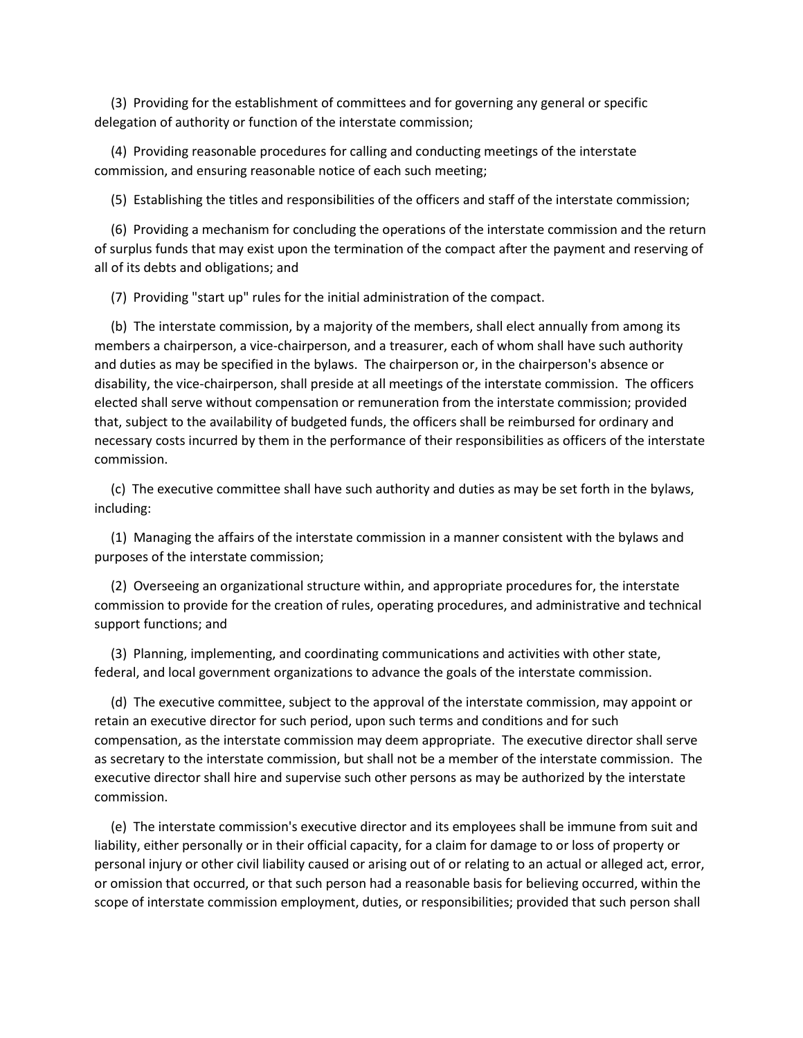(3) Providing for the establishment of committees and for governing any general or specific delegation of authority or function of the interstate commission;

 (4) Providing reasonable procedures for calling and conducting meetings of the interstate commission, and ensuring reasonable notice of each such meeting;

(5) Establishing the titles and responsibilities of the officers and staff of the interstate commission;

 (6) Providing a mechanism for concluding the operations of the interstate commission and the return of surplus funds that may exist upon the termination of the compact after the payment and reserving of all of its debts and obligations; and

(7) Providing "start up" rules for the initial administration of the compact.

 (b) The interstate commission, by a majority of the members, shall elect annually from among its members a chairperson, a vice-chairperson, and a treasurer, each of whom shall have such authority and duties as may be specified in the bylaws. The chairperson or, in the chairperson's absence or disability, the vice-chairperson, shall preside at all meetings of the interstate commission. The officers elected shall serve without compensation or remuneration from the interstate commission; provided that, subject to the availability of budgeted funds, the officers shall be reimbursed for ordinary and necessary costs incurred by them in the performance of their responsibilities as officers of the interstate commission.

 (c) The executive committee shall have such authority and duties as may be set forth in the bylaws, including:

 (1) Managing the affairs of the interstate commission in a manner consistent with the bylaws and purposes of the interstate commission;

 (2) Overseeing an organizational structure within, and appropriate procedures for, the interstate commission to provide for the creation of rules, operating procedures, and administrative and technical support functions; and

 (3) Planning, implementing, and coordinating communications and activities with other state, federal, and local government organizations to advance the goals of the interstate commission.

 (d) The executive committee, subject to the approval of the interstate commission, may appoint or retain an executive director for such period, upon such terms and conditions and for such compensation, as the interstate commission may deem appropriate. The executive director shall serve as secretary to the interstate commission, but shall not be a member of the interstate commission. The executive director shall hire and supervise such other persons as may be authorized by the interstate commission.

 (e) The interstate commission's executive director and its employees shall be immune from suit and liability, either personally or in their official capacity, for a claim for damage to or loss of property or personal injury or other civil liability caused or arising out of or relating to an actual or alleged act, error, or omission that occurred, or that such person had a reasonable basis for believing occurred, within the scope of interstate commission employment, duties, or responsibilities; provided that such person shall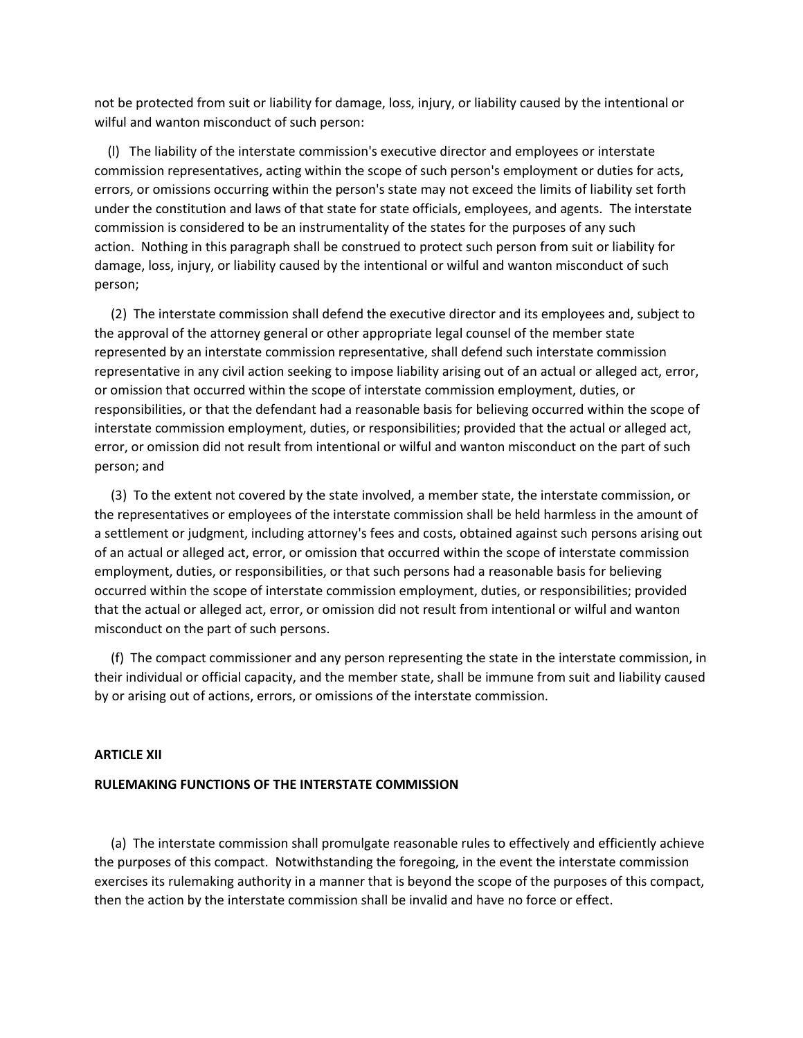not be protected from suit or liability for damage, loss, injury, or liability caused by the intentional or wilful and wanton misconduct of such person:

 (l) The liability of the interstate commission's executive director and employees or interstate commission representatives, acting within the scope of such person's employment or duties for acts, errors, or omissions occurring within the person's state may not exceed the limits of liability set forth under the constitution and laws of that state for state officials, employees, and agents. The interstate commission is considered to be an instrumentality of the states for the purposes of any such action. Nothing in this paragraph shall be construed to protect such person from suit or liability for damage, loss, injury, or liability caused by the intentional or wilful and wanton misconduct of such person;

 (2) The interstate commission shall defend the executive director and its employees and, subject to the approval of the attorney general or other appropriate legal counsel of the member state represented by an interstate commission representative, shall defend such interstate commission representative in any civil action seeking to impose liability arising out of an actual or alleged act, error, or omission that occurred within the scope of interstate commission employment, duties, or responsibilities, or that the defendant had a reasonable basis for believing occurred within the scope of interstate commission employment, duties, or responsibilities; provided that the actual or alleged act, error, or omission did not result from intentional or wilful and wanton misconduct on the part of such person; and

 (3) To the extent not covered by the state involved, a member state, the interstate commission, or the representatives or employees of the interstate commission shall be held harmless in the amount of a settlement or judgment, including attorney's fees and costs, obtained against such persons arising out of an actual or alleged act, error, or omission that occurred within the scope of interstate commission employment, duties, or responsibilities, or that such persons had a reasonable basis for believing occurred within the scope of interstate commission employment, duties, or responsibilities; provided that the actual or alleged act, error, or omission did not result from intentional or wilful and wanton misconduct on the part of such persons.

 (f) The compact commissioner and any person representing the state in the interstate commission, in their individual or official capacity, and the member state, shall be immune from suit and liability caused by or arising out of actions, errors, or omissions of the interstate commission.

## **ARTICLE XII**

## **RULEMAKING FUNCTIONS OF THE INTERSTATE COMMISSION**

 (a) The interstate commission shall promulgate reasonable rules to effectively and efficiently achieve the purposes of this compact. Notwithstanding the foregoing, in the event the interstate commission exercises its rulemaking authority in a manner that is beyond the scope of the purposes of this compact, then the action by the interstate commission shall be invalid and have no force or effect.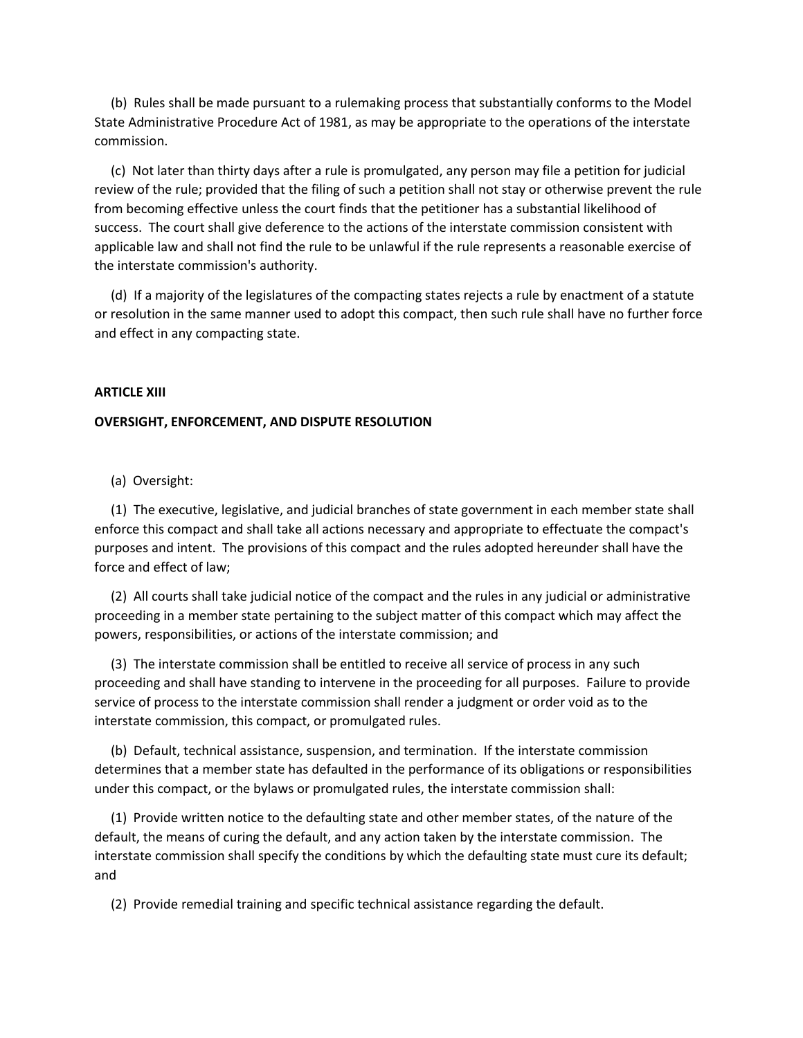(b) Rules shall be made pursuant to a rulemaking process that substantially conforms to the Model State Administrative Procedure Act of 1981, as may be appropriate to the operations of the interstate commission.

 (c) Not later than thirty days after a rule is promulgated, any person may file a petition for judicial review of the rule; provided that the filing of such a petition shall not stay or otherwise prevent the rule from becoming effective unless the court finds that the petitioner has a substantial likelihood of success. The court shall give deference to the actions of the interstate commission consistent with applicable law and shall not find the rule to be unlawful if the rule represents a reasonable exercise of the interstate commission's authority.

 (d) If a majority of the legislatures of the compacting states rejects a rule by enactment of a statute or resolution in the same manner used to adopt this compact, then such rule shall have no further force and effect in any compacting state.

## **ARTICLE XIII**

# **OVERSIGHT, ENFORCEMENT, AND DISPUTE RESOLUTION**

(a) Oversight:

 (1) The executive, legislative, and judicial branches of state government in each member state shall enforce this compact and shall take all actions necessary and appropriate to effectuate the compact's purposes and intent. The provisions of this compact and the rules adopted hereunder shall have the force and effect of law;

 (2) All courts shall take judicial notice of the compact and the rules in any judicial or administrative proceeding in a member state pertaining to the subject matter of this compact which may affect the powers, responsibilities, or actions of the interstate commission; and

 (3) The interstate commission shall be entitled to receive all service of process in any such proceeding and shall have standing to intervene in the proceeding for all purposes. Failure to provide service of process to the interstate commission shall render a judgment or order void as to the interstate commission, this compact, or promulgated rules.

 (b) Default, technical assistance, suspension, and termination. If the interstate commission determines that a member state has defaulted in the performance of its obligations or responsibilities under this compact, or the bylaws or promulgated rules, the interstate commission shall:

 (1) Provide written notice to the defaulting state and other member states, of the nature of the default, the means of curing the default, and any action taken by the interstate commission. The interstate commission shall specify the conditions by which the defaulting state must cure its default; and

(2) Provide remedial training and specific technical assistance regarding the default.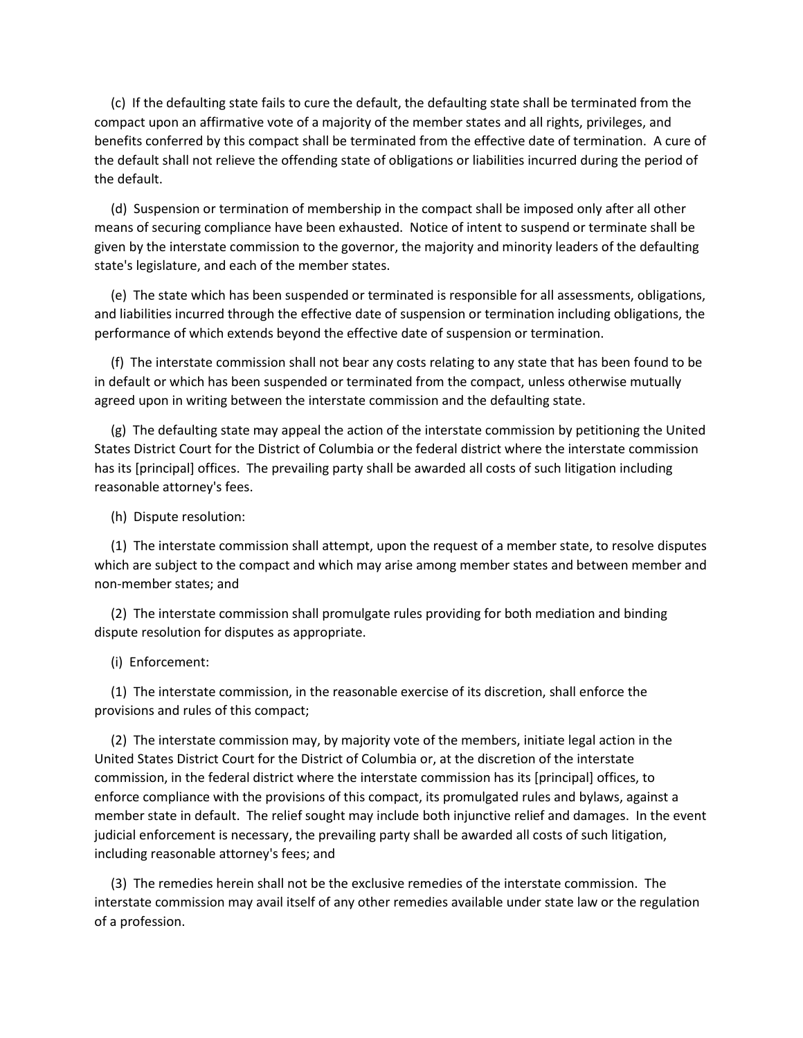(c) If the defaulting state fails to cure the default, the defaulting state shall be terminated from the compact upon an affirmative vote of a majority of the member states and all rights, privileges, and benefits conferred by this compact shall be terminated from the effective date of termination. A cure of the default shall not relieve the offending state of obligations or liabilities incurred during the period of the default.

 (d) Suspension or termination of membership in the compact shall be imposed only after all other means of securing compliance have been exhausted. Notice of intent to suspend or terminate shall be given by the interstate commission to the governor, the majority and minority leaders of the defaulting state's legislature, and each of the member states.

 (e) The state which has been suspended or terminated is responsible for all assessments, obligations, and liabilities incurred through the effective date of suspension or termination including obligations, the performance of which extends beyond the effective date of suspension or termination.

 (f) The interstate commission shall not bear any costs relating to any state that has been found to be in default or which has been suspended or terminated from the compact, unless otherwise mutually agreed upon in writing between the interstate commission and the defaulting state.

 (g) The defaulting state may appeal the action of the interstate commission by petitioning the United States District Court for the District of Columbia or the federal district where the interstate commission has its [principal] offices. The prevailing party shall be awarded all costs of such litigation including reasonable attorney's fees.

(h) Dispute resolution:

 (1) The interstate commission shall attempt, upon the request of a member state, to resolve disputes which are subject to the compact and which may arise among member states and between member and non-member states; and

 (2) The interstate commission shall promulgate rules providing for both mediation and binding dispute resolution for disputes as appropriate.

(i) Enforcement:

 (1) The interstate commission, in the reasonable exercise of its discretion, shall enforce the provisions and rules of this compact;

 (2) The interstate commission may, by majority vote of the members, initiate legal action in the United States District Court for the District of Columbia or, at the discretion of the interstate commission, in the federal district where the interstate commission has its [principal] offices, to enforce compliance with the provisions of this compact, its promulgated rules and bylaws, against a member state in default. The relief sought may include both injunctive relief and damages. In the event judicial enforcement is necessary, the prevailing party shall be awarded all costs of such litigation, including reasonable attorney's fees; and

 (3) The remedies herein shall not be the exclusive remedies of the interstate commission. The interstate commission may avail itself of any other remedies available under state law or the regulation of a profession.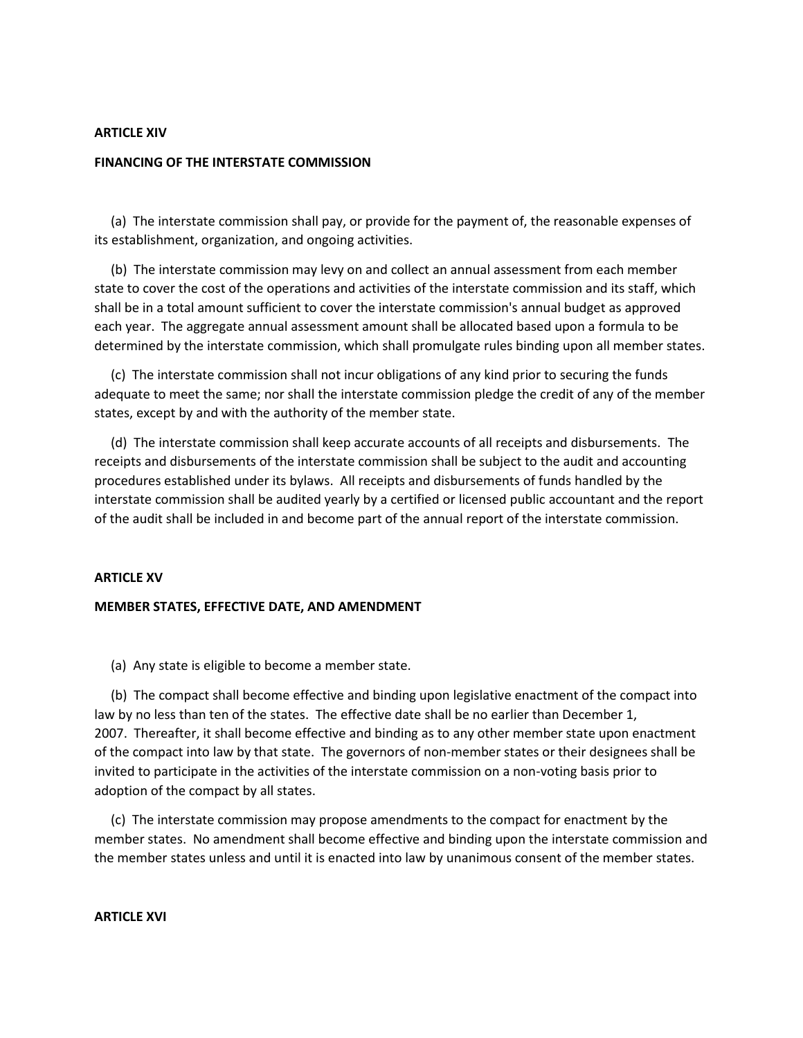#### **ARTICLE XIV**

## **FINANCING OF THE INTERSTATE COMMISSION**

 (a) The interstate commission shall pay, or provide for the payment of, the reasonable expenses of its establishment, organization, and ongoing activities.

 (b) The interstate commission may levy on and collect an annual assessment from each member state to cover the cost of the operations and activities of the interstate commission and its staff, which shall be in a total amount sufficient to cover the interstate commission's annual budget as approved each year. The aggregate annual assessment amount shall be allocated based upon a formula to be determined by the interstate commission, which shall promulgate rules binding upon all member states.

 (c) The interstate commission shall not incur obligations of any kind prior to securing the funds adequate to meet the same; nor shall the interstate commission pledge the credit of any of the member states, except by and with the authority of the member state.

 (d) The interstate commission shall keep accurate accounts of all receipts and disbursements. The receipts and disbursements of the interstate commission shall be subject to the audit and accounting procedures established under its bylaws. All receipts and disbursements of funds handled by the interstate commission shall be audited yearly by a certified or licensed public accountant and the report of the audit shall be included in and become part of the annual report of the interstate commission.

#### **ARTICLE XV**

## **MEMBER STATES, EFFECTIVE DATE, AND AMENDMENT**

(a) Any state is eligible to become a member state.

 (b) The compact shall become effective and binding upon legislative enactment of the compact into law by no less than ten of the states. The effective date shall be no earlier than December 1, 2007. Thereafter, it shall become effective and binding as to any other member state upon enactment of the compact into law by that state. The governors of non-member states or their designees shall be invited to participate in the activities of the interstate commission on a non-voting basis prior to adoption of the compact by all states.

 (c) The interstate commission may propose amendments to the compact for enactment by the member states. No amendment shall become effective and binding upon the interstate commission and the member states unless and until it is enacted into law by unanimous consent of the member states.

## **ARTICLE XVI**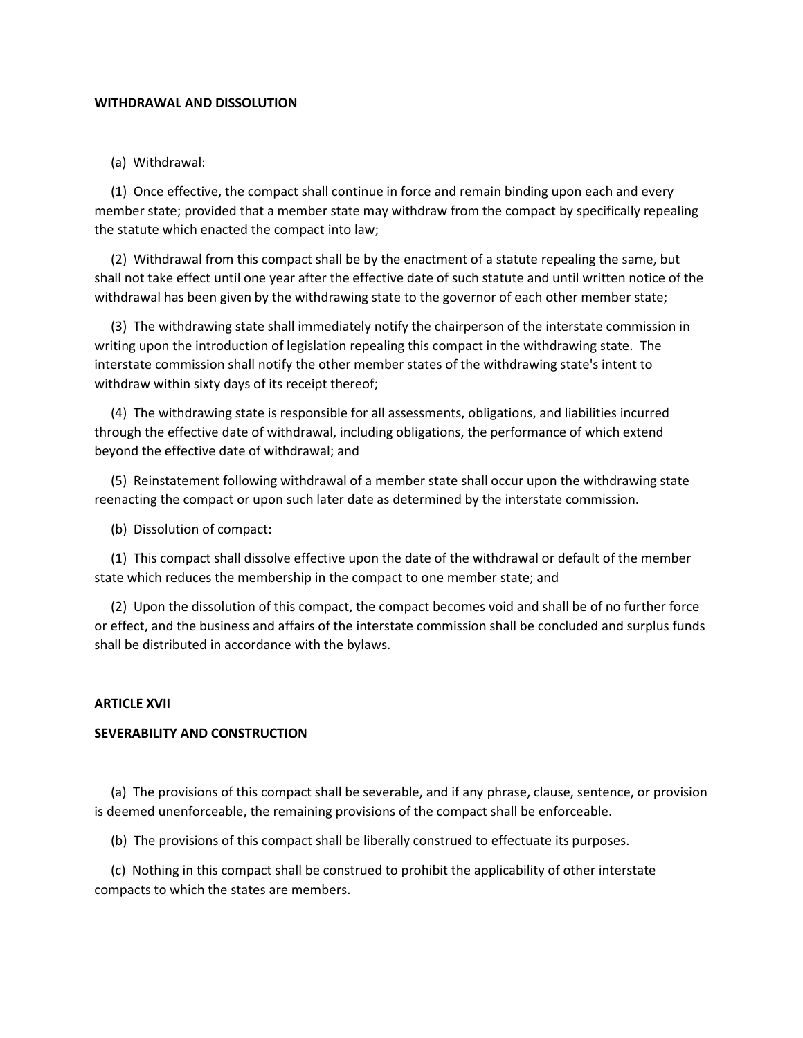## **WITHDRAWAL AND DISSOLUTION**

## (a) Withdrawal:

 (1) Once effective, the compact shall continue in force and remain binding upon each and every member state; provided that a member state may withdraw from the compact by specifically repealing the statute which enacted the compact into law;

 (2) Withdrawal from this compact shall be by the enactment of a statute repealing the same, but shall not take effect until one year after the effective date of such statute and until written notice of the withdrawal has been given by the withdrawing state to the governor of each other member state;

 (3) The withdrawing state shall immediately notify the chairperson of the interstate commission in writing upon the introduction of legislation repealing this compact in the withdrawing state. The interstate commission shall notify the other member states of the withdrawing state's intent to withdraw within sixty days of its receipt thereof;

 (4) The withdrawing state is responsible for all assessments, obligations, and liabilities incurred through the effective date of withdrawal, including obligations, the performance of which extend beyond the effective date of withdrawal; and

 (5) Reinstatement following withdrawal of a member state shall occur upon the withdrawing state reenacting the compact or upon such later date as determined by the interstate commission.

(b) Dissolution of compact:

 (1) This compact shall dissolve effective upon the date of the withdrawal or default of the member state which reduces the membership in the compact to one member state; and

 (2) Upon the dissolution of this compact, the compact becomes void and shall be of no further force or effect, and the business and affairs of the interstate commission shall be concluded and surplus funds shall be distributed in accordance with the bylaws.

#### **ARTICLE XVII**

## **SEVERABILITY AND CONSTRUCTION**

 (a) The provisions of this compact shall be severable, and if any phrase, clause, sentence, or provision is deemed unenforceable, the remaining provisions of the compact shall be enforceable.

(b) The provisions of this compact shall be liberally construed to effectuate its purposes.

 (c) Nothing in this compact shall be construed to prohibit the applicability of other interstate compacts to which the states are members.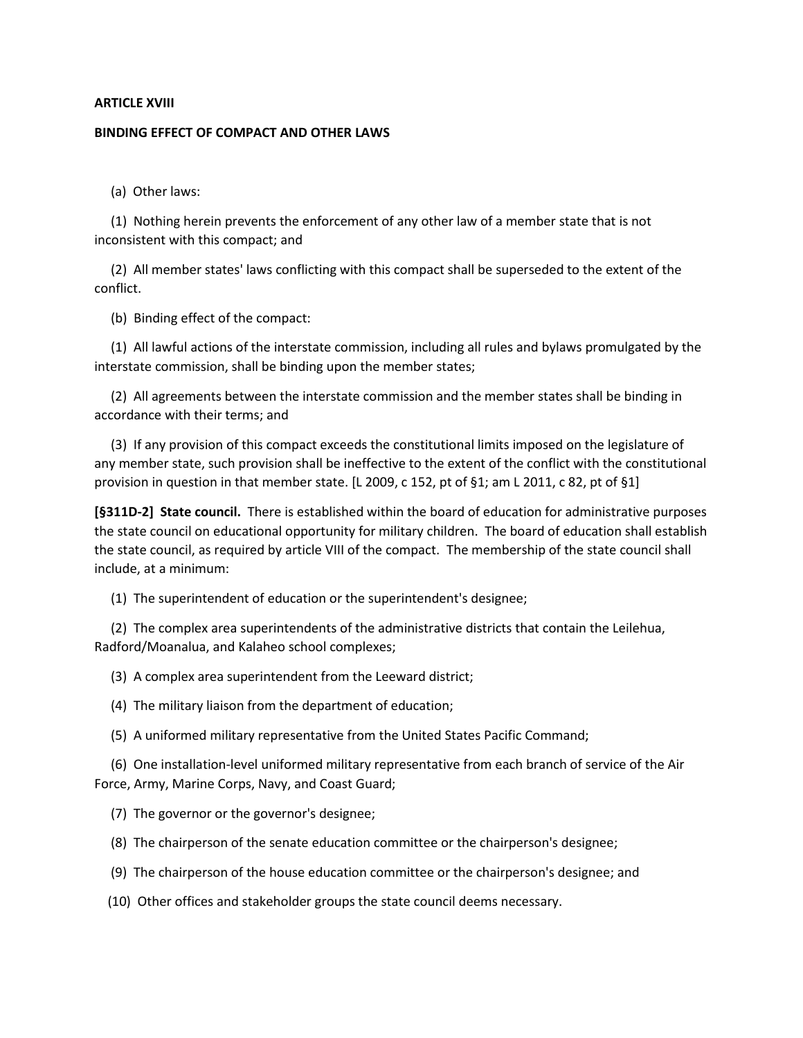## **ARTICLE XVIII**

#### **BINDING EFFECT OF COMPACT AND OTHER LAWS**

(a) Other laws:

 (1) Nothing herein prevents the enforcement of any other law of a member state that is not inconsistent with this compact; and

 (2) All member states' laws conflicting with this compact shall be superseded to the extent of the conflict.

(b) Binding effect of the compact:

 (1) All lawful actions of the interstate commission, including all rules and bylaws promulgated by the interstate commission, shall be binding upon the member states;

 (2) All agreements between the interstate commission and the member states shall be binding in accordance with their terms; and

 (3) If any provision of this compact exceeds the constitutional limits imposed on the legislature of any member state, such provision shall be ineffective to the extent of the conflict with the constitutional provision in question in that member state. [L 2009, c 152, pt of §1; am L 2011, c 82, pt of §1]

**[§311D-2] State council.** There is established within the board of education for administrative purposes the state council on educational opportunity for military children. The board of education shall establish the state council, as required by article VIII of the compact. The membership of the state council shall include, at a minimum:

(1) The superintendent of education or the superintendent's designee;

 (2) The complex area superintendents of the administrative districts that contain the Leilehua, Radford/Moanalua, and Kalaheo school complexes;

(3) A complex area superintendent from the Leeward district;

(4) The military liaison from the department of education;

(5) A uniformed military representative from the United States Pacific Command;

 (6) One installation-level uniformed military representative from each branch of service of the Air Force, Army, Marine Corps, Navy, and Coast Guard;

(7) The governor or the governor's designee;

(8) The chairperson of the senate education committee or the chairperson's designee;

(9) The chairperson of the house education committee or the chairperson's designee; and

(10) Other offices and stakeholder groups the state council deems necessary.